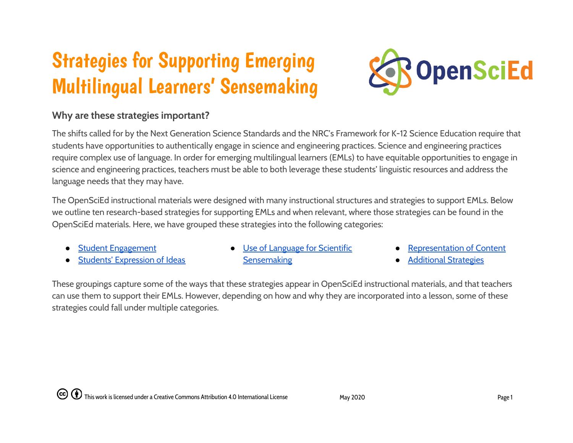# Strategies for Supporting Emerging Multilingual Learners' Sensemaking



#### **Why are these strategies important?**

The shifts called for by the Next Generation Science Standards and the NRC's Framework for K-12 Science Education require that students have opportunities to authentically engage in science and engineering practices. Science and engineering practices require complex use of language. In order for emerging multilingual learners (EMLs) to have equitable opportunities to engage in science and engineering practices, teachers must be able to both leverage these students' linguistic resources and address the language needs that they may have.

The OpenSciEd instructional materials were designed with many instructional structures and strategies to support EMLs. Below we outline ten research-based strategies for supporting EMLs and when relevant, where those strategies can be found in the OpenSciEd materials. Here, we have grouped these strategies into the following categories:

- **Student [Engagement](#page-1-0)**
- **Students' [Expression of](#page-1-1) Ideas**
- **Use of [Language](#page-2-0) for Scientific [Sensemaking](#page-2-0)**
- **[Representation](#page-2-1) of Content**
- **[Additional](#page-3-0) Strategies**

These groupings capture some of the ways that these strategies appear in OpenSciEd instructional materials, and that teachers can use them to support their EMLs. However, depending on how and why they are incorporated into a lesson, some of these strategies could fall under multiple categories.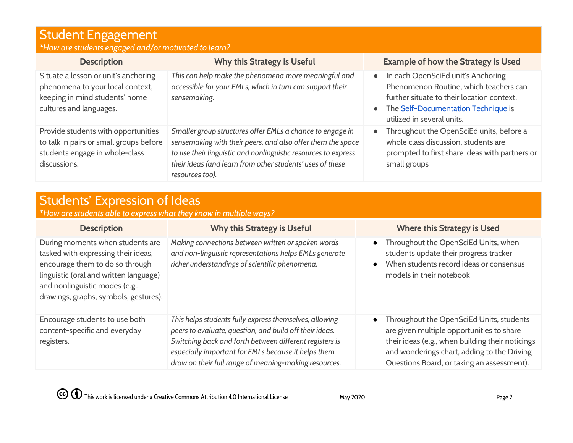## <span id="page-1-0"></span>Student Engagement

| *How are students engaged and/or motivated to learn? |  |  |
|------------------------------------------------------|--|--|
|                                                      |  |  |

| <b>Description</b>                                                                                                                    | Why this Strategy is Useful                                                                                                                                                                                                                                                | <b>Example of how the Strategy is Used</b>                                                                                                                                                                                |
|---------------------------------------------------------------------------------------------------------------------------------------|----------------------------------------------------------------------------------------------------------------------------------------------------------------------------------------------------------------------------------------------------------------------------|---------------------------------------------------------------------------------------------------------------------------------------------------------------------------------------------------------------------------|
| Situate a lesson or unit's anchoring<br>phenomena to your local context,<br>keeping in mind students' home<br>cultures and languages. | This can help make the phenomena more meaningful and<br>accessible for your EMLs, which in turn can support their<br>sensemaking.                                                                                                                                          | In each OpenSciEd unit's Anchoring<br>$\bullet$<br>Phenomenon Routine, which teachers can<br>further situate to their location context.<br>The Self-Documentation Technique is<br>$\bullet$<br>utilized in several units. |
| Provide students with opportunities<br>to talk in pairs or small groups before<br>students engage in whole-class<br>discussions.      | Smaller group structures offer EMLs a chance to engage in<br>sensemaking with their peers, and also offer them the space<br>to use their linguistic and nonlinguistic resources to express<br>their ideas (and learn from other students' uses of these<br>resources too). | Throughout the OpenSciEd units, before a<br>$\bullet$<br>whole class discussion, students are<br>prompted to first share ideas with partners or<br>small groups                                                           |

### <span id="page-1-1"></span>Students' Expression of Ideas

\**How are students able to express what they know in multiple ways?*

| <b>Description</b>                                                                                                                                                                                                              | Why this Strategy is Useful                                                                                                                                                                                                                                                                  | <b>Where this Strategy is Used</b>                                                                                                                                                                                                                  |
|---------------------------------------------------------------------------------------------------------------------------------------------------------------------------------------------------------------------------------|----------------------------------------------------------------------------------------------------------------------------------------------------------------------------------------------------------------------------------------------------------------------------------------------|-----------------------------------------------------------------------------------------------------------------------------------------------------------------------------------------------------------------------------------------------------|
| During moments when students are<br>tasked with expressing their ideas,<br>encourage them to do so through<br>linguistic (oral and written language)<br>and nonlinguistic modes (e.g.,<br>drawings, graphs, symbols, gestures). | Making connections between written or spoken words<br>and non-linguistic representations helps EMLs generate<br>richer understandings of scientific phenomena.                                                                                                                               | Throughout the OpenSciEd Units, when<br>$\bullet$<br>students update their progress tracker<br>When students record ideas or consensus<br>$\bullet$<br>models in their notebook                                                                     |
| Encourage students to use both<br>content-specific and everyday<br>registers.                                                                                                                                                   | This helps students fully express themselves, allowing<br>peers to evaluate, question, and build off their ideas.<br>Switching back and forth between different registers is<br>especially important for EMLs because it helps them<br>draw on their full range of meaning-making resources. | Throughout the OpenSciEd Units, students<br>$\bullet$<br>are given multiple opportunities to share<br>their ideas (e.g., when building their noticings<br>and wonderings chart, adding to the Driving<br>Questions Board, or taking an assessment). |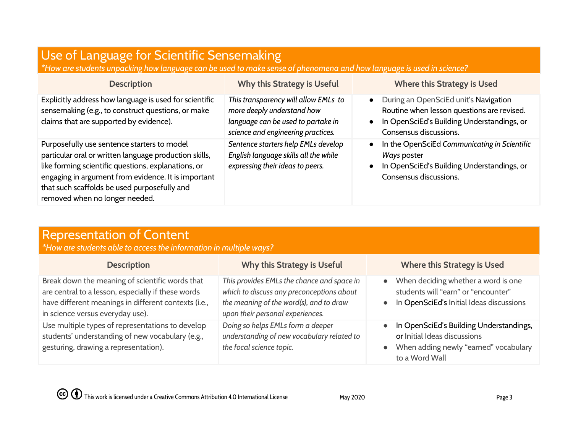## <span id="page-2-0"></span>Use of Language for Scientific Sensemaking

\*How are students unpacking how language can be used to make sense of phenomena and how language is used in science?

| <b>Description</b>                                                                                                                                                                                                                                                                                    | Why this Strategy is Useful                                                                                                                    | <b>Where this Strategy is Used</b>                                                                                                                          |
|-------------------------------------------------------------------------------------------------------------------------------------------------------------------------------------------------------------------------------------------------------------------------------------------------------|------------------------------------------------------------------------------------------------------------------------------------------------|-------------------------------------------------------------------------------------------------------------------------------------------------------------|
| Explicitly address how language is used for scientific<br>sensemaking (e.g., to construct questions, or make<br>claims that are supported by evidence).                                                                                                                                               | This transparency will allow EMLs to<br>more deeply understand how<br>language can be used to partake in<br>science and engineering practices. | During an OpenSciEd unit's Navigation<br>Routine when lesson questions are revised.<br>In OpenSciEd's Building Understandings, or<br>Consensus discussions. |
| Purposefully use sentence starters to model<br>particular oral or written language production skills,<br>like forming scientific questions, explanations, or<br>engaging in argument from evidence. It is important<br>that such scaffolds be used purposefully and<br>removed when no longer needed. | Sentence starters help EMLs develop<br>English language skills all the while<br>expressing their ideas to peers.                               | In the OpenSciEd Communicating in Scientific<br>Ways poster<br>In OpenSciEd's Building Understandings, or<br>Consensus discussions.                         |

#### <span id="page-2-1"></span>Representation of Content

*\*How are students able to access the information in multiple ways?*

| <b>Description</b>                                                                                                                                                                                | Why this Strategy is Useful                                                                                                                                            | <b>Where this Strategy is Used</b>                                                                                                 |
|---------------------------------------------------------------------------------------------------------------------------------------------------------------------------------------------------|------------------------------------------------------------------------------------------------------------------------------------------------------------------------|------------------------------------------------------------------------------------------------------------------------------------|
| Break down the meaning of scientific words that<br>are central to a lesson, especially if these words<br>have different meanings in different contexts (i.e.,<br>in science versus everyday use). | This provides EMLs the chance and space in<br>which to discuss any preconceptions about<br>the meaning of the word(s), and to draw<br>upon their personal experiences. | When deciding whether a word is one<br>students will "earn" or "encounter"<br>In OpenSciEd's Initial Ideas discussions             |
| Use multiple types of representations to develop<br>students' understanding of new vocabulary (e.g.,<br>gesturing, drawing a representation).                                                     | Doing so helps EMLs form a deeper<br>understanding of new vocabulary related to<br>the focal science topic.                                                            | In OpenSciEd's Building Understandings,<br>or Initial Ideas discussions<br>When adding newly "earned" vocabulary<br>to a Word Wall |